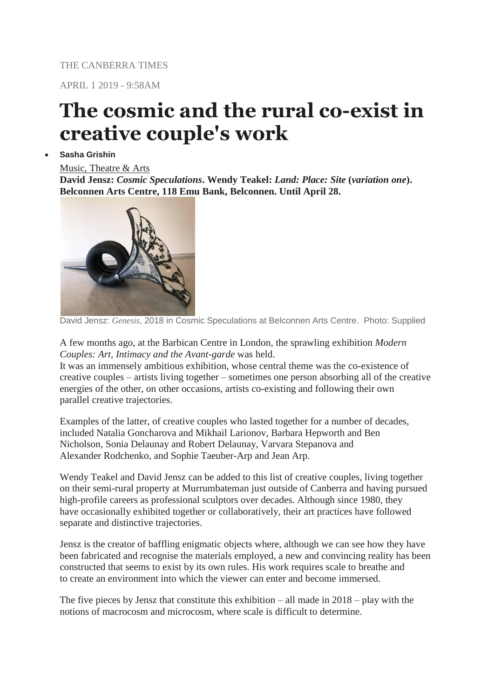THE CANBERRA TIMES

APRIL 1 2019 - 9:58AM

## **The cosmic and the rural co-exist in creative couple's work**

## **Sasha Grishin**

## [Music, Theatre & Arts](https://www.canberratimes.com.au/whats-on/music-theatre-arts/)

**David Jensz:** *Cosmic Speculations***. Wendy Teakel:** *Land: Place: Site* **(***variation one***). Belconnen Arts Centre, 118 Emu Bank, Belconnen. Until April 28.**



David Jensz: *Genesis*, 2018 in Cosmic Speculations at Belconnen Arts Centre. Photo: Supplied

A few months ago, at the Barbican Centre in London, the sprawling exhibition *Modern Couples: Art, Intimacy and the Avant-garde* was held.

It was an immensely ambitious exhibition, whose central theme was the co-existence of creative couples – artists living together – sometimes one person absorbing all of the creative energies of the other, on other occasions, artists co-existing and following their own parallel creative trajectories.

Examples of the latter, of creative couples who lasted together for a number of decades, included Natalia Goncharova and Mikhail Larionov, Barbara Hepworth and Ben Nicholson, Sonia Delaunay and Robert Delaunay, Varvara Stepanova and Alexander Rodchenko, and Sophie Taeuber-Arp and Jean Arp.

Wendy Teakel and David Jensz can be added to this list of creative couples, living together on their semi-rural property at Murrumbateman just outside of Canberra and having pursued high-profile careers as professional sculptors over decades. Although since 1980, they have occasionally exhibited together or collaboratively, their art practices have followed separate and distinctive trajectories.

Jensz is the creator of baffling enigmatic objects where, although we can see how they have been fabricated and recognise the materials employed, a new and convincing reality has been constructed that seems to exist by its own rules. His work requires scale to breathe and to create an environment into which the viewer can enter and become immersed.

The five pieces by Jensz that constitute this exhibition – all made in 2018 – play with the notions of macrocosm and microcosm, where scale is difficult to determine.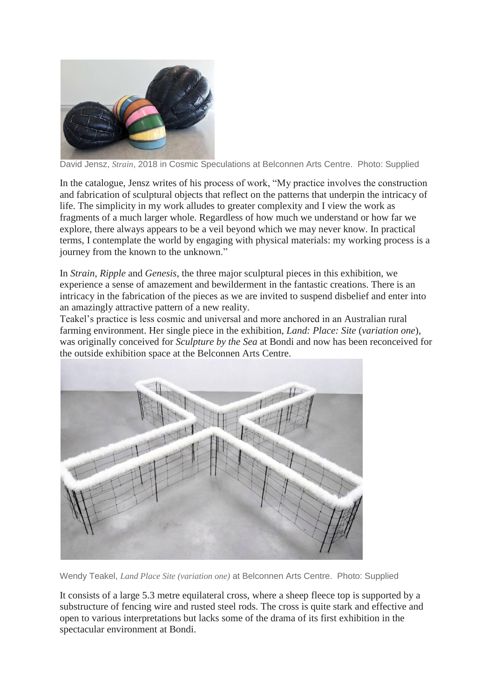

David Jensz, *Strain*, 2018 in Cosmic Speculations at Belconnen Arts Centre. Photo: Supplied

In the catalogue, Jensz writes of his process of work, "My practice involves the construction and fabrication of sculptural objects that reflect on the patterns that underpin the intricacy of life. The simplicity in my work alludes to greater complexity and I view the work as fragments of a much larger whole. Regardless of how much we understand or how far we explore, there always appears to be a veil beyond which we may never know. In practical terms, I contemplate the world by engaging with physical materials: my working process is a journey from the known to the unknown."

In *Strain*, *Ripple* and *Genesis*, the three major sculptural pieces in this exhibition, we experience a sense of amazement and bewilderment in the fantastic creations. There is an intricacy in the fabrication of the pieces as we are invited to suspend disbelief and enter into an amazingly attractive pattern of a new reality.

Teakel's practice is less cosmic and universal and more anchored in an Australian rural farming environment. Her single piece in the exhibition, *Land: Place: Site* (*variation one*), was originally conceived for *Sculpture by the Sea* at Bondi and now has been reconceived for the outside exhibition space at the Belconnen Arts Centre.



Wendy Teakel, *Land Place Site (variation one)* at Belconnen Arts Centre. Photo: Supplied

It consists of a large 5.3 metre equilateral cross, where a sheep fleece top is supported by a substructure of fencing wire and rusted steel rods. The cross is quite stark and effective and open to various interpretations but lacks some of the drama of its first exhibition in the spectacular environment at Bondi.